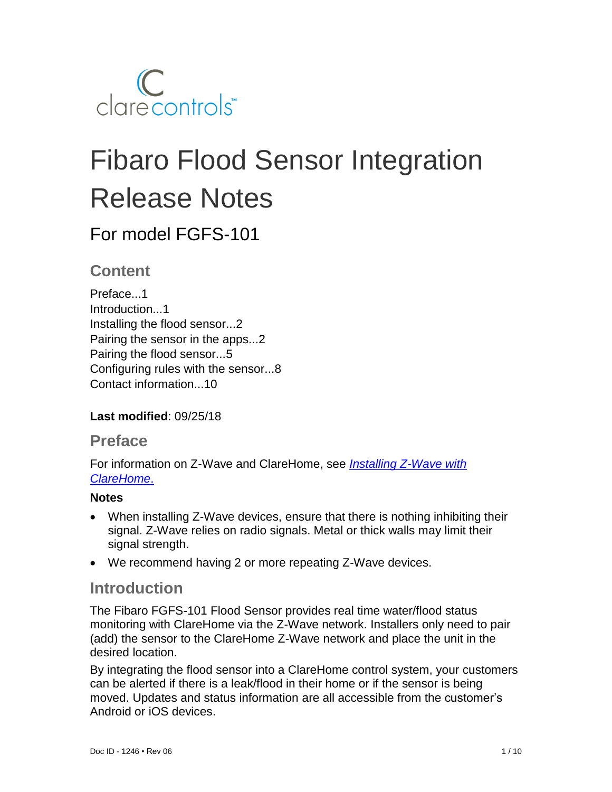

# Fibaro Flood Sensor Integration Release Notes

# For model FGFS-101

### **Content**

Preface...1 Introduction...1 Installing the flood sensor...2 Pairing the sensor in the apps...2 Pairing the flood sensor...5 Configuring rules with the sensor...8 Contact information...10

**Last modified**: 09/25/18

### **Preface**

For information on Z-Wave and ClareHome, see *[Installing Z-Wave with](https://www.clarecontrols.com/helpcenter/installing-z-wave-with-clarehome-tech-bulletin)  [ClareHome](https://www.clarecontrols.com/helpcenter/installing-z-wave-with-clarehome-tech-bulletin)*.

### **Notes**

- When installing Z-Wave devices, ensure that there is nothing inhibiting their signal. Z-Wave relies on radio signals. Metal or thick walls may limit their signal strength.
- We recommend having 2 or more repeating Z-Wave devices.

### **Introduction**

The Fibaro FGFS-101 Flood Sensor provides real time water/flood status monitoring with ClareHome via the Z-Wave network. Installers only need to pair (add) the sensor to the ClareHome Z-Wave network and place the unit in the desired location.

By integrating the flood sensor into a ClareHome control system, your customers can be alerted if there is a leak/flood in their home or if the sensor is being moved. Updates and status information are all accessible from the customer's Android or iOS devices.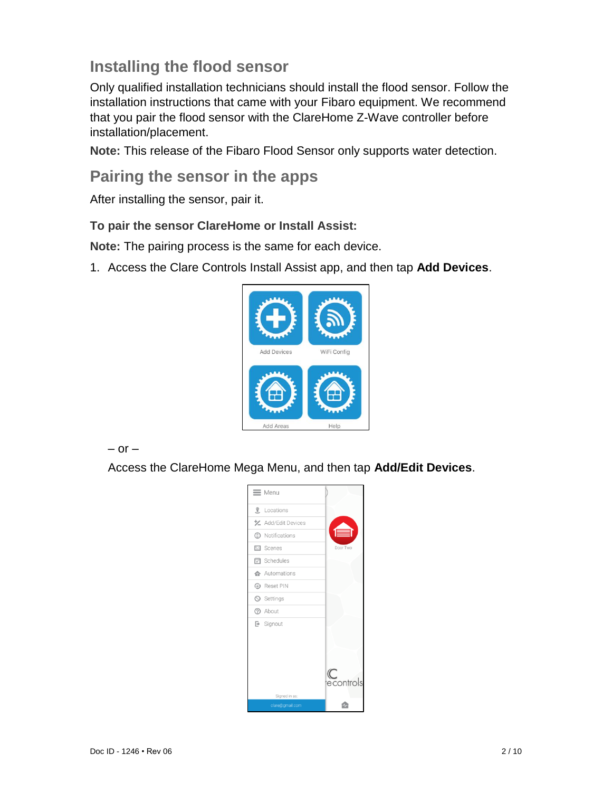# **Installing the flood sensor**

Only qualified installation technicians should install the flood sensor. Follow the installation instructions that came with your Fibaro equipment. We recommend that you pair the flood sensor with the ClareHome Z-Wave controller before installation/placement.

**Note:** This release of the Fibaro Flood Sensor only supports water detection.

# **Pairing the sensor in the apps**

After installing the sensor, pair it.

### **To pair the sensor ClareHome or Install Assist:**

**Note:** The pairing process is the same for each device.

1. Access the Clare Controls Install Assist app, and then tap **Add Devices**.



 $-$  or  $-$ 

Access the ClareHome Mega Menu, and then tap **Add/Edit Devices**.

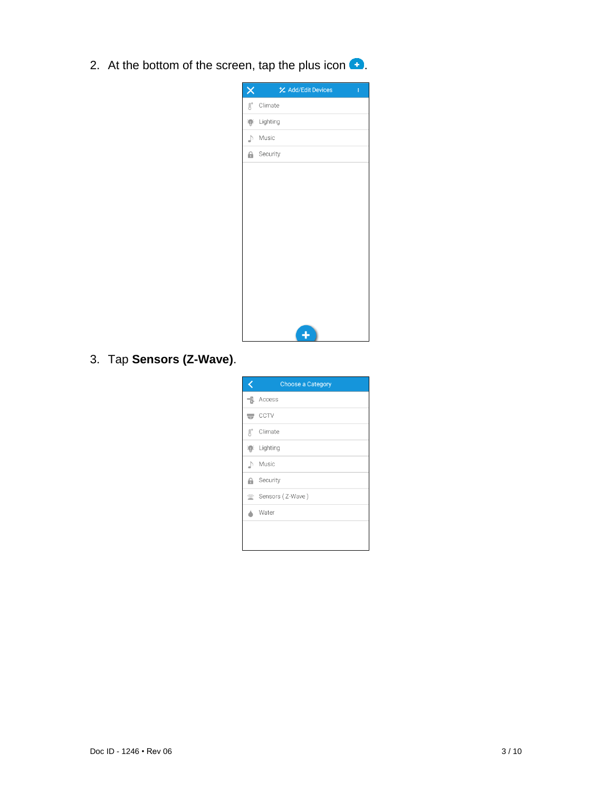2. At the bottom of the screen, tap the plus icon  $\bullet$ .

| ×                | <b>½</b> Add/Edit Devices<br>ŧ |
|------------------|--------------------------------|
| $\text{B}^\circ$ | Climate                        |
| $\mathbf{D}$     | Lighting                       |
| ♪                | Music                          |
|                  | <b>A</b> Security              |
|                  |                                |
|                  |                                |
|                  |                                |
|                  |                                |
|                  |                                |
|                  |                                |
|                  |                                |
|                  |                                |
|                  |                                |
|                  |                                |
|                  |                                |

3. Tap **Sensors (Z-Wave)**.

|                  | <b>Choose a Category</b> |
|------------------|--------------------------|
|                  | $\exists$ . Access       |
|                  | $\equiv$ CCTV            |
| $\text{R}^\circ$ | Climate                  |
| 靊                | Lighting                 |
|                  | Nusic                    |
| а                | Security                 |
|                  | Sensors (Z-Wave)         |
|                  | Water                    |
|                  |                          |
|                  |                          |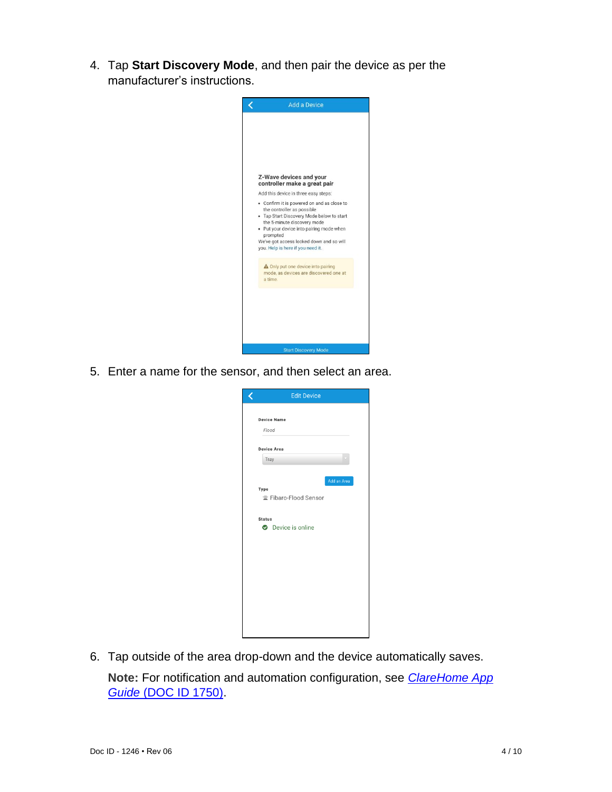4. Tap **Start Discovery Mode**, and then pair the device as per the manufacturer's instructions.



5. Enter a name for the sensor, and then select an area.

| <b>Edit Device</b>                                     |
|--------------------------------------------------------|
| <b>Device Name</b><br>Flood                            |
| <b>Device Area</b>                                     |
| Tray                                                   |
| Add an Area<br>Type<br><sup> Fibaro-Flood Sensor</sup> |
| <b>Status</b>                                          |
| <b>O</b> Device is online                              |
|                                                        |
|                                                        |
|                                                        |
|                                                        |
|                                                        |
|                                                        |
|                                                        |
|                                                        |

6. Tap outside of the area drop-down and the device automatically saves.

**Note:** For notification and automation configuration, see *[ClareHome App](https://knowledgebaseclarecontrols.atlassian.net/wiki/spaces/CA/pages/421265410/ClareHome+App+Guide)  Guide* [\(DOC ID 1750\).](https://knowledgebaseclarecontrols.atlassian.net/wiki/spaces/CA/pages/421265410/ClareHome+App+Guide)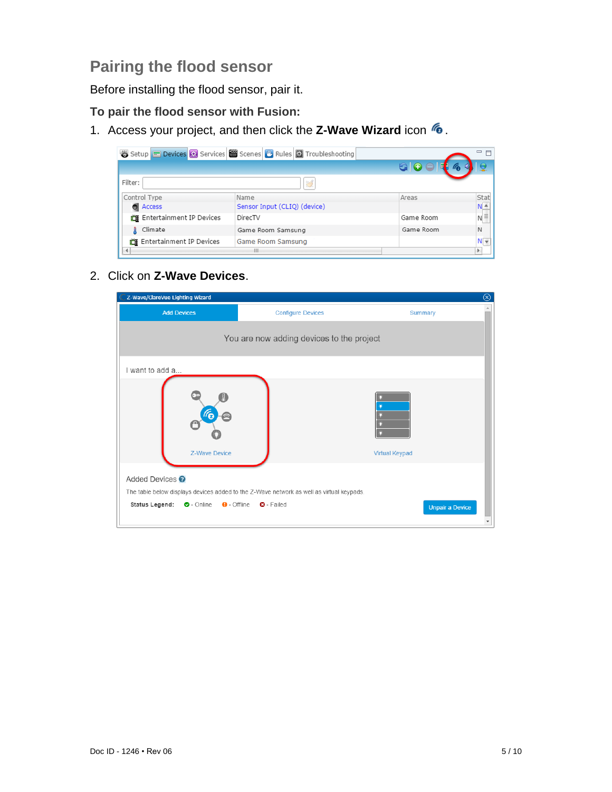# **Pairing the flood sensor**

Before installing the flood sensor, pair it.

### **To pair the flood sensor with Fusion:**

1. Access your project, and then click the **Z-Wave Wizard** icon **6**.

|                          | Setup Devices 3 Services Services Cones U Rules 3 Troubleshooting |           | 一日                 |
|--------------------------|-------------------------------------------------------------------|-----------|--------------------|
|                          |                                                                   | 60        |                    |
| Filter:                  | 冦                                                                 |           |                    |
| Control Type             | Name                                                              | Areas     | Stat               |
| <b>O</b> Access          | Sensor Input (CLIQ) (device)                                      |           | $N_{-}^{\prime}$   |
| Entertainment IP Devices | DirecTV                                                           | Game Room | $N \equiv$         |
| Climate<br>A             | Game Room Samsung                                                 | Game Room | $\mathbb N$        |
| Entertainment IP Devices | Game Room Samsung                                                 |           | $N_{\overline{v}}$ |
|                          | $\mathbf{H}$                                                      |           |                    |

#### 2. Click on **Z-Wave Devices**.

| Z-Wave/ClareVue Lighting Wizard<br>⊗                                      |                                                                                                                                     |                        |  |  |
|---------------------------------------------------------------------------|-------------------------------------------------------------------------------------------------------------------------------------|------------------------|--|--|
| <b>Add Devices</b>                                                        | <b>Configure Devices</b>                                                                                                            | Summary                |  |  |
|                                                                           | You are now adding devices to the project                                                                                           |                        |  |  |
| I want to add a                                                           |                                                                                                                                     |                        |  |  |
| Z-Wave Device                                                             |                                                                                                                                     | <b>Virtual Keypad</b>  |  |  |
| Added Devices <sup>O</sup><br><b>Status Legend:</b><br>$\bullet$ - Online | The table below displays devices added to the Z-Wave network as well as virtual keypads.<br>$\Theta$ - Offline<br><b>O</b> - Failed | <b>Unpair a Device</b> |  |  |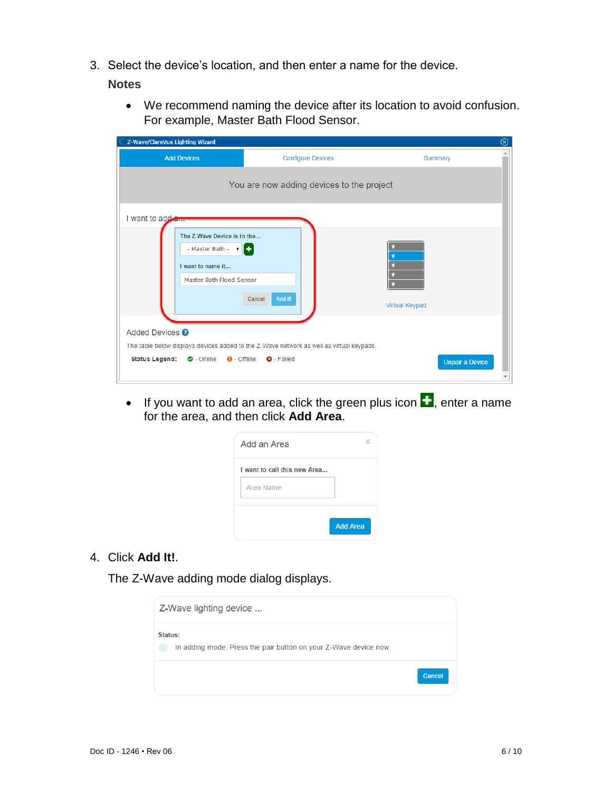3. Select the device's location, and then enter a name for the device.

#### **Notes**

• We recommend naming the device after its location to avoid confusion. For example, Master Bath Flood Sensor.

| ⊗<br>Z-Wave/ClareVue Lighting Wizard                                                                         |                                                                                                               |                        |  |  |
|--------------------------------------------------------------------------------------------------------------|---------------------------------------------------------------------------------------------------------------|------------------------|--|--|
| <b>Add Devices</b>                                                                                           | <b>Configure Devices</b>                                                                                      | Summary                |  |  |
|                                                                                                              | You are now adding devices to the project                                                                     |                        |  |  |
| I want to add a                                                                                              |                                                                                                               |                        |  |  |
| The Z-Wave Device is in the<br>- Master Bath - $\mathbf{v}$<br>I want to name it<br>Master Bath Flood Sensor | Add It!<br>Cancel                                                                                             | <b>Virtual Keypad</b>  |  |  |
| Added Devices <sup>?</sup>                                                                                   |                                                                                                               |                        |  |  |
| <b>Status Legend:</b><br>$\bullet$ - Online $\bullet$ - Offline                                              | The table below displays devices added to the Z-Wave network as well as virtual keypads.<br><b>Q</b> - Failed | <b>Unpair a Device</b> |  |  |

• If you want to add an area, click the green plus icon  $\blacksquare$ , enter a name for the area, and then click **Add Area**.

| Add an Area                  |                 |
|------------------------------|-----------------|
| I want to call this new Area |                 |
| Area Name                    |                 |
|                              |                 |
|                              | <b>Add Area</b> |

4. Click **Add It!**.

The Z-Wave adding mode dialog displays.

| Z-Wave lighting device                                                      |        |
|-----------------------------------------------------------------------------|--------|
| Status:<br>In adding mode. Press the pair button on your Z-Wave device now. |        |
|                                                                             | Cancel |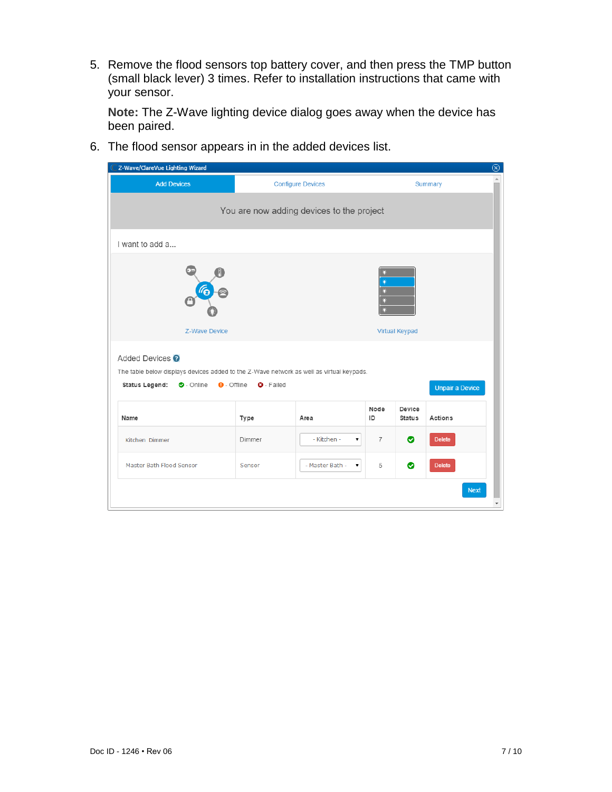5. Remove the flood sensors top battery cover, and then press the TMP button (small black lever) 3 times. Refer to installation instructions that came with your sensor.

**Note:** The Z-Wave lighting device dialog goes away when the device has been paired.

6. The flood sensor appears in in the added devices list.

| $\circledcirc$<br>Z-Wave/ClareVue Lighting Wizard                                                                                                                                                                                          |        |                   |                |                         |                |  |
|--------------------------------------------------------------------------------------------------------------------------------------------------------------------------------------------------------------------------------------------|--------|-------------------|----------------|-------------------------|----------------|--|
| <b>Configure Devices</b><br><b>Add Devices</b>                                                                                                                                                                                             |        |                   |                |                         | <b>Summary</b> |  |
| You are now adding devices to the project                                                                                                                                                                                                  |        |                   |                |                         |                |  |
| I want to add a                                                                                                                                                                                                                            |        |                   |                |                         |                |  |
| ٠<br>6<br><b>Z-Wave Device</b><br><b>Virtual Keypad</b>                                                                                                                                                                                    |        |                   |                |                         |                |  |
| Added Devices <sup>O</sup><br>The table below displays devices added to the Z-Wave network as well as virtual keypads.<br><b>Status Legend:</b><br>$\bullet$ - Online<br>$\Theta$ - Offline<br><b>Q</b> - Failed<br><b>Unpair a Device</b> |        |                   |                |                         |                |  |
| Name                                                                                                                                                                                                                                       | Type   | Area              | Node<br>ID     | Device<br><b>Status</b> | Actions        |  |
| Kitchen Dimmer                                                                                                                                                                                                                             | Dimmer | - Kitchen -<br>۷. | $\overline{7}$ | ◓                       | <b>Delete</b>  |  |
| Master Bath Flood Sensor                                                                                                                                                                                                                   | Sensor | - Master Bath -   | 5              | ◉                       | <b>Delete</b>  |  |
|                                                                                                                                                                                                                                            |        |                   |                |                         | <b>Next</b>    |  |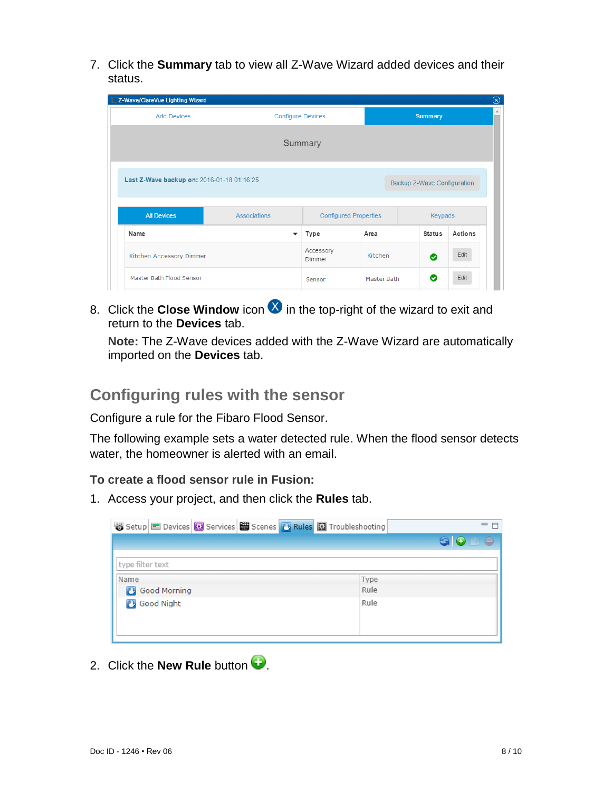7. Click the **Summary** tab to view all Z-Wave Wizard added devices and their status.

| C Z-Wave/ClareVue Lighting Wizard                                         |                                            |                              |             |                | ⊗       |  |
|---------------------------------------------------------------------------|--------------------------------------------|------------------------------|-------------|----------------|---------|--|
| <b>Add Devices</b>                                                        | <b>Summary</b><br><b>Configure Devices</b> |                              |             |                |         |  |
| Summary                                                                   |                                            |                              |             |                |         |  |
| Last Z-Wave backup on: 2016-01-18 01:16:25<br>Backup Z-Wave Configuration |                                            |                              |             |                |         |  |
| <b>All Devices</b>                                                        | <b>Associations</b>                        | <b>Configured Properties</b> |             | <b>Keypads</b> |         |  |
| Name                                                                      | ▼                                          | Type                         | Area        | <b>Status</b>  | Actions |  |
| Kitchen Accessory Dimmer                                                  |                                            | Accessory<br>Dimmer          | Kitchen     | ◎              | Edit    |  |
| Master Bath Flood Sensor                                                  |                                            | Sensor                       | Master Bath | ◎              | Edit    |  |

8. Click the **Close Window** icon **ight** in the top-right of the wizard to exit and return to the **Devices** tab.

**Note:** The Z-Wave devices added with the Z-Wave Wizard are automatically imported on the **Devices** tab.

## **Configuring rules with the sensor**

Configure a rule for the Fibaro Flood Sensor.

The following example sets a water detected rule. When the flood sensor detects water, the homeowner is alerted with an email.

### **To create a flood sensor rule in Fusion:**

1. Access your project, and then click the **Rules** tab.

| Setup Devices <b>&amp;</b> Services <b>&amp;</b> Scenes <b>&amp; Rules &amp;</b> Troubleshooting | □ 日  |
|--------------------------------------------------------------------------------------------------|------|
|                                                                                                  | GOBe |
| type filter text                                                                                 |      |
| Name                                                                                             | Type |
| Good Morning                                                                                     | Rule |
| Good Night                                                                                       | Rule |

2. Click the **New Rule** button  $\bullet$ .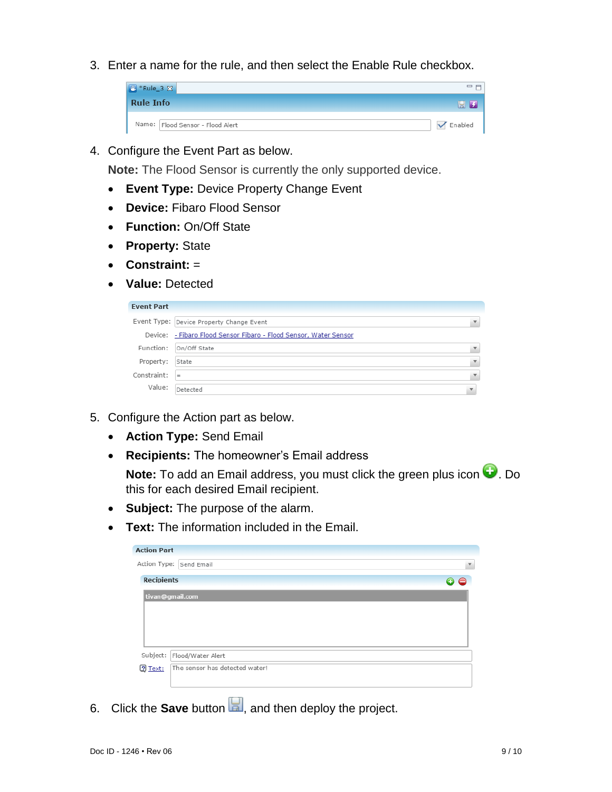3. Enter a name for the rule, and then select the Enable Rule checkbox.



4. Configure the Event Part as below.

**Note:** The Flood Sensor is currently the only supported device.

- **Event Type:** Device Property Change Event
- **Device:** Fibaro Flood Sensor
- **Function:** On/Off State
- **Property:** State
- **Constraint:** =
- **Value:** Detected

| Event Type: Device Property Change Event                          | $\overline{\mathbf{v}}$ |
|-------------------------------------------------------------------|-------------------------|
| Device: - Fibaro Flood Sensor Fibaro - Flood Sensor, Water Sensor |                         |
| Function: On/Off State                                            | $\overline{\mathbf{v}}$ |
| State                                                             | $\overline{\mathbf{v}}$ |
| $=$                                                               | $\overline{\mathbf{v}}$ |
| Detected                                                          |                         |
|                                                                   |                         |

- 5. Configure the Action part as below.
	- **Action Type:** Send Email
	- **Recipients:** The homeowner's Email address

**Note:** To add an Email address, you must click the green plus icon  $\bullet$ . Do this for each desired Email recipient.

- **Subject:** The purpose of the alarm.
- **Text:** The information included in the Email.

| <b>Action Part</b>                        |     |
|-------------------------------------------|-----|
| Action Type: Send Email                   | v   |
| <b>Recipients</b>                         | o e |
| tivan@gmail.com                           |     |
|                                           |     |
|                                           |     |
|                                           |     |
| Subject:<br>Flood/Water Alert             |     |
| The sensor has detected water!<br>? Text: |     |
|                                           |     |

6. Click the **Save** button **1**, and then deploy the project.